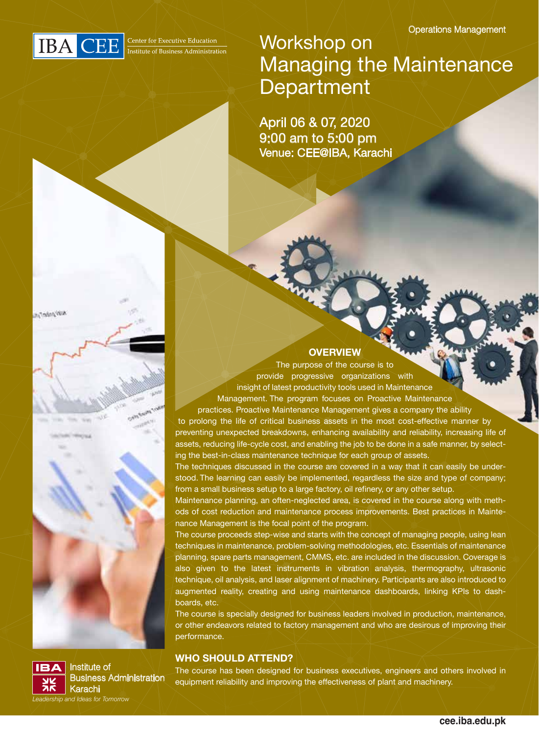

**AUVANOTAL** 

Institute of

Karachi *Leadership and Ideas for Tomorrow*

 $IBA$ 

Business Administration

Workshop on Managing the Maintenance **Department** 

April 06 & 07, 2020 9:00 am to 5:00 pm Venue: CEE@IBA, Karachi

#### **OVERVIEW**

The purpose of the course is to provide progressive organizations with insight of latest productivity tools used in Maintenance Management. The program focuses on Proactive Maintenance

practices. Proactive Maintenance Management gives a company the ability to prolong the life of critical business assets in the most cost-effective manner by preventing unexpected breakdowns, enhancing availability and reliability, increasing life of assets, reducing life-cycle cost, and enabling the job to be done in a safe manner, by selecting the best-in-class maintenance technique for each group of assets.

The techniques discussed in the course are covered in a way that it can easily be understood. The learning can easily be implemented, regardless the size and type of company; from a small business setup to a large factory, oil refinery, or any other setup.

Maintenance planning, an often-neglected area, is covered in the course along with methods of cost reduction and maintenance process improvements. Best practices in Maintenance Management is the focal point of the program.

The course proceeds step-wise and starts with the concept of managing people, using lean techniques in maintenance, problem-solving methodologies, etc. Essentials of maintenance planning, spare parts management, CMMS, etc. are included in the discussion. Coverage is also given to the latest instruments in vibration analysis, thermography, ultrasonic technique, oil analysis, and laser alignment of machinery. Participants are also introduced to augmented reality, creating and using maintenance dashboards, linking KPIs to dashboards, etc.

The course is specially designed for business leaders involved in production, maintenance, or other endeavors related to factory management and who are desirous of improving their performance.

#### **WHO SHOULD ATTEND?**

The course has been designed for business executives, engineers and others involved in equipment reliability and improving the effectiveness of plant and machinery.